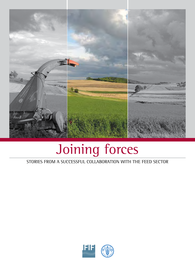

# Joining forces

stories from a successful collaboration with the feed sector

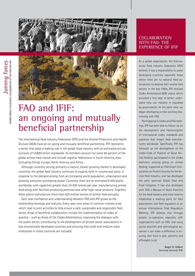



# FAO and IFIF: an ongoing and mutually beneficial partnership

The International Feed Industry Federation (IFIF) and the Animal Production and Health Division (AGA) have an on-going and mutually beneficial partnership. IFIF represents a sector that plays a leading role in the global food industry with an estimated annual turnover of US\$85 billion worldwide. Its members account for some 85 percent of the global animal feed market and include regional federations in South America, Asia (including China), Europe, North America and Africa.

Although currently serving primarily a mature, slower growing market in developed countries, the global feed industry continues to expand, both in volume and value, in response to the demand arising from an increasing world population, urbanization and growing consumer purchasing power. Currently, there are an estimated 8 000 plants worldwide, with capacities greater than 25 000 tonnes per year, manufacturing animal feed along with facilities producing premixes and other high-value products. Together, these plants manufacture more than 635 million tonnes of animal feed annually.

Each year confidence and understanding between FAO and IFIF grows as the relationship develops and matures. Every year, new areas of common interest arise which lead to joint activities to help ensure a safe, sustainable and responsible feed sector. Areas of beneficial collaboration include the implementation of codes of practice - such as those of the *Codex Alimentarius*; improving the dialogue with the public sector; contributing to the development of private sector associations in less economically developed countries and ensuring that small and medium scale enterprises in those countries are included.

## COLLABORATION WITH FAO: THE experience of IFIF

As a global organisation, the International Feed Industry Federation (IFIF) believes it has a responsibility to assist developing countries, especially those where there are no national feed associations, to develop their animal feed sectors. In the late 1990s, IFIF received *Codex Alimentarius* NGO status which provided a first step to better understand how our industry is regulated by governments. At the same time, we began developing a close working relationship with FAO.

Participating in *Codex* and FAO meetings, IFIF has been able to follow-up on the development and harmonization of international codes, standards and practices that impact feed manufacturers worldwide. Specifically, IFIF has followed up the development of the *Codex* Code of Practice of Good Animal Feeding; participated in the *Codex*  electronic working group on animal feeding; supported an FAO Expert Consultation on Protein Sources for the Animal Feed Industry; and has developed the joint, biannual Global Feed and Food Congress. It has also developed with FAO a Manual of Good Practices for the Feed Industry and most recently established a meeting point for feed associations and feed regulators at an annual International Feed Regulators Meeting. IFIF believes that through greater co-operation, especially with organizations such as FAO, and using sound scientific and technological advances it can make a difference in ensuring that food is safe, plentiful and affordable to all.

> **Roger D. Gilbert** Secretary General, IFIF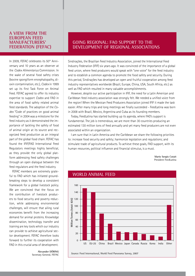#### **A view from the European Feed ManufactureRs' Federation (FEFAC)**

In 2009, FEFAC celebrates its 50<sup>th</sup> Anniversary and 10 years as an observer at the *Codex Alimentarius* Commission. In the wake of several food safety crises (bovine spongiform encephalopathy, dioxin contamination, etc.), *Codex* in 1999 set up its first Task Force on Animal Feed. FEFAC agreed to offer its industry expertise to support *Codex* and FAO in the area of food safety related animal feed standards. The adoption of the *Codex* "Code of practices on good animal feeding" in 2004 was a milestone for the feed industry as it demonstrated the importance of tackling the safety of food of animal origin at its source and recognized feed production as an integral part of the global food chain. FEFAC has found the IFIF/FAO International Feed Regulators meetings highly beneficial, as they provide the only global platform addressing feed safety challenges through an open dialogue between the feed regulators and the feed industry.

FEFAC members are extremely grateful to FAO which has initiated groundbreaking steps to develop a consistent framework for a global livestock policy. We are convinced that the focus on the contribution of livestock producers to food security and poverty reduction, while addressing environmental challenges, will ensure that ailing rural economies benefit from the increasing demand for animal proteins. Knowledge dissemination, technology transfer and training are key tools which our industry can provide to achieve agricultural sector development. FEFAC therefore looks forward to further its cooperation with FAO in this crucial area of development.

> **Alexander DÖRING**  Secretary General, FEFAC

## Going regional: FAO support to the development of regional associations

Sindirações, the Brazilian Feed Industry Association, joined the International Feed Industry Federation (IFIF) six years ago. It was convinced of the importance of a global feed union, where feed producers would speak with "one voice" for the feed industry and to establish a common agenda to promote the food safety and security. During this period, Sindirações has developed an open and fruitful cooperation among feed industry representatives worldwide (Brazil, Europe, China, USA, South Africa, etc.) as well as FAO which resulted in many valuable accomplishments.

However, despite our active participation in IFIF, the need for a Latin American and Caribbean feed industry association was strongly felt. We needed a unified voice from the region! When the Mexican Feed Producers Association joined IFIF it made the task easier. After many trips and long meetings we finally succeeded - FeedLatina was born in 2008 with Brazil, Mexico, Argentina and Cuba as its founding members.

Today, FeedLatina has started building up its agenda, where FAO's support is fundamental. The job is tremendous, we are more than 30 countries producing an estimated 130 million tons of feed annually and yet many feed producers are not even associated within an organization.

I am sure that in Latin America and the Caribbean we share the following priorities to: increase food security and safety; harmonize legislation and regulations; and stimulate trade of agricultural products. To achieve these goals, FAO support, with its human resources, political influence and financial stimulus, is a must.

> **Mario Sergio Cutait** President FeedLatina